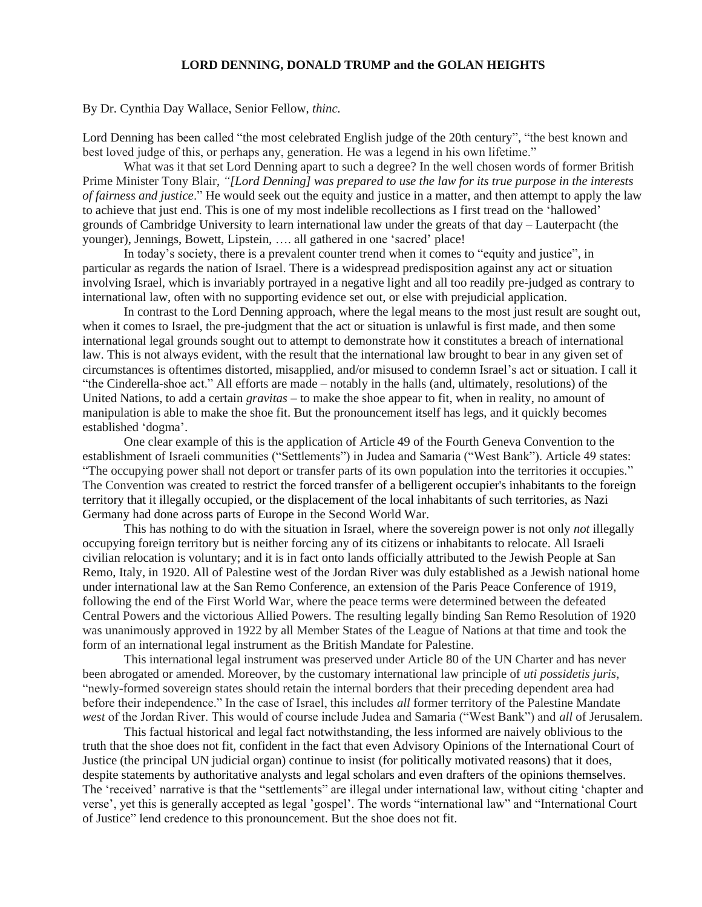## **LORD DENNING, DONALD TRUMP and the GOLAN HEIGHTS**

By Dr. Cynthia Day Wallace, Senior Fellow, *thinc.*

Lord Denning has been called "the most celebrated English judge of the 20th century", "the best known and best loved judge of this, or perhaps any, generation. He was a legend in his own lifetime."

What was it that set Lord Denning apart to such a degree? In the well chosen words of former British Prime Minister Tony Blair, *"[Lord Denning] was prepared to use the law for its true purpose in the interests of fairness and justice*." He would seek out the equity and justice in a matter, and then attempt to apply the law to achieve that just end. This is one of my most indelible recollections as I first tread on the 'hallowed' grounds of Cambridge University to learn international law under the greats of that day – Lauterpacht (the younger), Jennings, Bowett, Lipstein, …. all gathered in one 'sacred' place!

In today's society, there is a prevalent counter trend when it comes to "equity and justice", in particular as regards the nation of Israel. There is a widespread predisposition against any act or situation involving Israel, which is invariably portrayed in a negative light and all too readily pre-judged as contrary to international law, often with no supporting evidence set out, or else with prejudicial application.

In contrast to the Lord Denning approach, where the legal means to the most just result are sought out, when it comes to Israel, the pre-judgment that the act or situation is unlawful is first made, and then some international legal grounds sought out to attempt to demonstrate how it constitutes a breach of international law. This is not always evident, with the result that the international law brought to bear in any given set of circumstances is oftentimes distorted, misapplied, and/or misused to condemn Israel's act or situation. I call it "the Cinderella-shoe act." All efforts are made – notably in the halls (and, ultimately, resolutions) of the United Nations, to add a certain *gravitas* – to make the shoe appear to fit, when in reality, no amount of manipulation is able to make the shoe fit. But the pronouncement itself has legs, and it quickly becomes established 'dogma'.

One clear example of this is the application of Article 49 of the Fourth Geneva Convention to the establishment of Israeli communities ("Settlements") in Judea and Samaria ("West Bank"). Article 49 states: "The occupying power shall not deport or transfer parts of its own population into the territories it occupies." The Convention was created to restrict the forced transfer of a belligerent occupier's inhabitants to the foreign territory that it illegally occupied, or the displacement of the local inhabitants of such territories, as Nazi Germany had done across parts of Europe in the Second World War.

This has nothing to do with the situation in Israel, where the sovereign power is not only *not* illegally occupying foreign territory but is neither forcing any of its citizens or inhabitants to relocate. All Israeli civilian relocation is voluntary; and it is in fact onto lands officially attributed to the Jewish People at San Remo, Italy, in 1920. All of Palestine west of the Jordan River was duly established as a Jewish national home under international law at the San Remo Conference, an extension of the Paris Peace Conference of 1919, following the end of the First World War, where the peace terms were determined between the defeated Central Powers and the victorious Allied Powers. The resulting legally binding San Remo Resolution of 1920 was unanimously approved in 1922 by all Member States of the League of Nations at that time and took the form of an international legal instrument as the British Mandate for Palestine.

This international legal instrument was preserved under Article 80 of the UN Charter and has never been abrogated or amended. Moreover, by the customary international law principle of *uti possidetis juris*, "newly-formed sovereign states should retain the internal borders that their preceding dependent area had before their independence." In the case of Israel, this includes *all* former territory of the Palestine Mandate *west* of the Jordan River. This would of course include Judea and Samaria ("West Bank") and *all* of Jerusalem.

This factual historical and legal fact notwithstanding, the less informed are naively oblivious to the truth that the shoe does not fit, confident in the fact that even Advisory Opinions of the International Court of Justice (the principal UN judicial organ) continue to insist (for politically motivated reasons) that it does, despite statements by authoritative analysts and legal scholars and even drafters of the opinions themselves. The 'received' narrative is that the "settlements" are illegal under international law, without citing 'chapter and verse', yet this is generally accepted as legal 'gospel'. The words "international law" and "International Court of Justice" lend credence to this pronouncement. But the shoe does not fit.